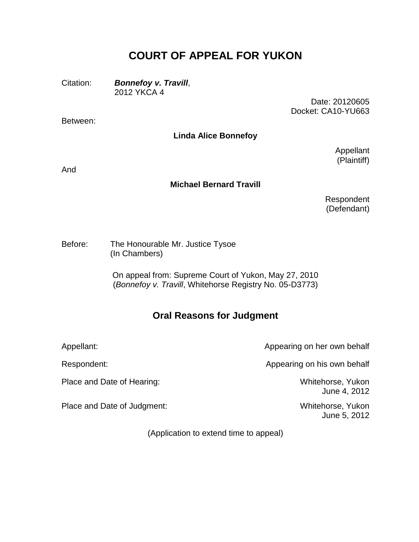## **COURT OF APPEAL FOR YUKON**

Citation: *Bonnefoy v. Travill*, 2012 YKCA 4

Between:

Date: 20120605 Docket: CA10-YU663

**Linda Alice Bonnefoy**

Appellant (Plaintiff)

And

## **Michael Bernard Travill**

Respondent (Defendant)

Before: The Honourable Mr. Justice Tysoe (In Chambers)

> On appeal from: Supreme Court of Yukon, May 27, 2010 (*Bonnefoy v. Travill*, Whitehorse Registry No. 05-D3773)

## **Oral Reasons for Judgment**

Place and Date of Hearing: Whitehorse, Yukon

Place and Date of Judgment: Whitehorse, Yukon

Appellant: Appearing on her own behalf

Respondent: Respondent: Respondent: Respondent: Appearing on his own behalf

June 4, 2012

June 5, 2012

(Application to extend time to appeal)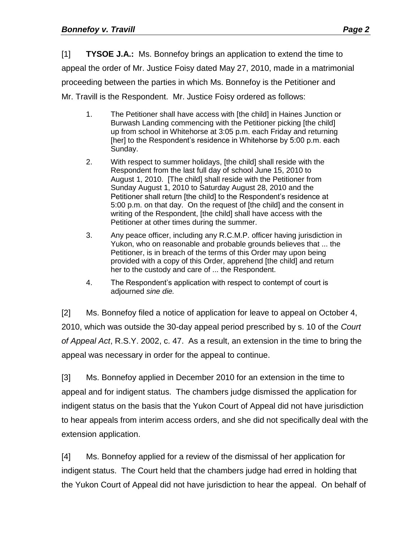[1] **TYSOE J.A.:** Ms. Bonnefoy brings an application to extend the time to appeal the order of Mr. Justice Foisy dated May 27, 2010, made in a matrimonial proceeding between the parties in which Ms. Bonnefoy is the Petitioner and Mr. Travill is the Respondent. Mr. Justice Foisy ordered as follows:

- 1. The Petitioner shall have access with [the child] in Haines Junction or Burwash Landing commencing with the Petitioner picking [the child] up from school in Whitehorse at 3:05 p.m. each Friday and returning [her] to the Respondent's residence in Whitehorse by 5:00 p.m. each Sunday.
- 2. With respect to summer holidays, [the child] shall reside with the Respondent from the last full day of school June 15, 2010 to August 1, 2010. [The child] shall reside with the Petitioner from Sunday August 1, 2010 to Saturday August 28, 2010 and the Petitioner shall return [the child] to the Respondent's residence at 5:00 p.m. on that day. On the request of [the child] and the consent in writing of the Respondent, [the child] shall have access with the Petitioner at other times during the summer.
- 3. Any peace officer, including any R.C.M.P. officer having jurisdiction in Yukon, who on reasonable and probable grounds believes that ... the Petitioner, is in breach of the terms of this Order may upon being provided with a copy of this Order, apprehend [the child] and return her to the custody and care of ... the Respondent.
- 4. The Respondent's application with respect to contempt of court is adjourned *sine die.*

[2] Ms. Bonnefoy filed a notice of application for leave to appeal on October 4, 2010, which was outside the 30-day appeal period prescribed by s. 10 of the *Court of Appeal Act*, R.S.Y. 2002, c. 47. As a result, an extension in the time to bring the appeal was necessary in order for the appeal to continue.

[3] Ms. Bonnefoy applied in December 2010 for an extension in the time to appeal and for indigent status. The chambers judge dismissed the application for indigent status on the basis that the Yukon Court of Appeal did not have jurisdiction to hear appeals from interim access orders, and she did not specifically deal with the extension application.

[4] Ms. Bonnefoy applied for a review of the dismissal of her application for indigent status. The Court held that the chambers judge had erred in holding that the Yukon Court of Appeal did not have jurisdiction to hear the appeal. On behalf of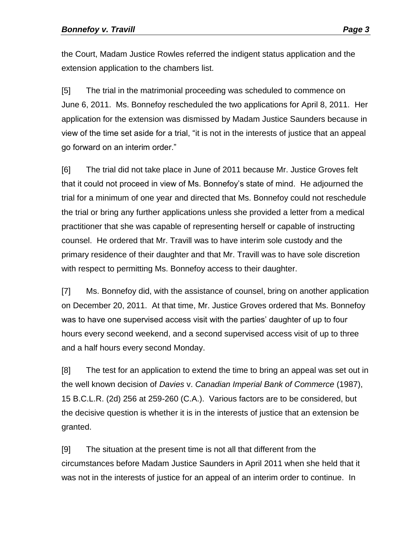the Court, Madam Justice Rowles referred the indigent status application and the extension application to the chambers list.

[5] The trial in the matrimonial proceeding was scheduled to commence on June 6, 2011. Ms. Bonnefoy rescheduled the two applications for April 8, 2011. Her application for the extension was dismissed by Madam Justice Saunders because in view of the time set aside for a trial, "it is not in the interests of justice that an appeal go forward on an interim order."

[6] The trial did not take place in June of 2011 because Mr. Justice Groves felt that it could not proceed in view of Ms. Bonnefoy's state of mind. He adjourned the trial for a minimum of one year and directed that Ms. Bonnefoy could not reschedule the trial or bring any further applications unless she provided a letter from a medical practitioner that she was capable of representing herself or capable of instructing counsel. He ordered that Mr. Travill was to have interim sole custody and the primary residence of their daughter and that Mr. Travill was to have sole discretion with respect to permitting Ms. Bonnefoy access to their daughter.

[7] Ms. Bonnefoy did, with the assistance of counsel, bring on another application on December 20, 2011. At that time, Mr. Justice Groves ordered that Ms. Bonnefoy was to have one supervised access visit with the parties' daughter of up to four hours every second weekend, and a second supervised access visit of up to three and a half hours every second Monday.

[8] The test for an application to extend the time to bring an appeal was set out in the well known decision of *Davies* v. *Canadian Imperial Bank of Commerce* (1987), 15 B.C.L.R. (2d) 256 at 259-260 (C.A.). Various factors are to be considered, but the decisive question is whether it is in the interests of justice that an extension be granted.

[9] The situation at the present time is not all that different from the circumstances before Madam Justice Saunders in April 2011 when she held that it was not in the interests of justice for an appeal of an interim order to continue. In